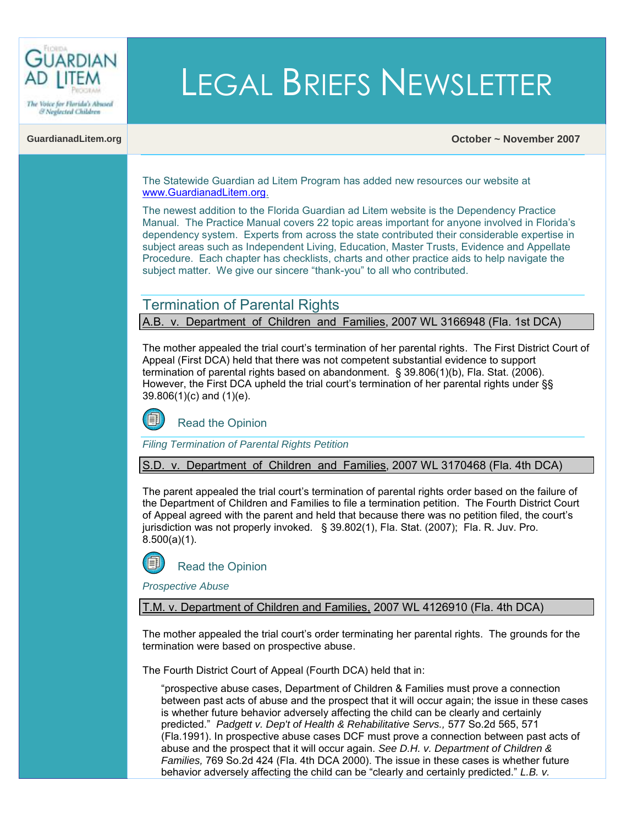

& Neglected Children

# LEGAL BRIEFS NEWSLETTER

#### **GuardianadLitem.org October ~ November 2007**

The Statewide Guardian ad Litem Program has added new resources our website at [www.GuardianadLitem.org.](http://www.guardianadlitem.org/)

The newest addition to the Florida Guardian ad Litem website is the Dependency Practice Manual. The Practice Manual covers 22 topic areas important for anyone involved in Florida's dependency system. Experts from across the state contributed their considerable expertise in subject areas such as Independent Living, Education, Master Trusts, Evidence and Appellate Procedure. Each chapter has checklists, charts and other practice aids to help navigate the subject matter. We give our sincere "thank-you" to all who contributed.

## Termination of Parental Rights

A.B. v. Department of Children and Families, 2007 WL 3166948 (Fla. 1st DCA)

The mother appealed the trial court's termination of her parental rights. The First District Court of Appeal (First DCA) held that there was not competent substantial evidence to support termination of parental rights based on abandonment. [§ 39.806\(1\)\(b\), Fla. Stat. \(2006\).](http://www.flsenate.gov/Statutes/index.cfm?App_mode=Display_Statute&Search_String=&URL=Ch0039/SEC806.HTM&Title=->2007->Ch0039->Section%20806#0039.806)  However, the First DCA upheld the trial court's termination of her parental rights under §§ [39.806\(1\)\(c\) and](http://www.flsenate.gov/Statutes/index.cfm?App_mode=Display_Statute&Search_String=&URL=Ch0039/SEC806.HTM&Title=->2007->Ch0039->Section%20806#0039.806) (1)(e).



*Filing Termination of Parental Rights Petition*

S.D. v. Department of Children and Families, 2007 WL 3170468 (Fla. 4th DCA)

The parent appealed the trial court's termination of parental rights order based on the failure of the Department of Children and Families to file a termination petition. The Fourth District Court of Appeal agreed with the parent and held that because there was no petition filed, the court's jurisdiction was not properly invoked. [§ 39.802\(1\), Fla. Stat. \(2007\);](http://www.flsenate.gov/Statutes/index.cfm?App_mode=Display_Statute&Search_String=&URL=Ch0039/SEC802.HTM&Title=->2007->Ch0039->Section%20802#0039.802) [Fla. R. Juv. Pro.](http://www.floridabar.org/TFB/TFBResources.nsf/Attachments/E2AD7DEF01F6F90685256B29004BFA7E/$FILE/Juvenile%20Rules.pdf?OpenElement)  [8.500\(a\)\(1\).](http://www.floridabar.org/TFB/TFBResources.nsf/Attachments/E2AD7DEF01F6F90685256B29004BFA7E/$FILE/Juvenile%20Rules.pdf?OpenElement)

[Read the Opinion](%20http://www.4dca.org/Oct%202007/10%E2%80%9031%E2%80%9007/4D07%E2%80%902617.op.pdf%20%20%20)

*Prospective Abuse* 

T.M. v. Department of Children and Families, 2007 WL 4126910 (Fla. 4th DCA)

The mother appealed the trial court's order terminating her parental rights. The grounds for the termination were based on prospective abuse.

The Fourth District Court of Appeal (Fourth DCA) held that in:

"prospective abuse cases, Department of Children & Families must prove a connection between past acts of abuse and the prospect that it will occur again; the issue in these cases is whether future behavior adversely affecting the child can be clearly and certainly predicted." *[Padgett v. Dep't of Health & Rehabilitative Servs.,](http://www.floridasupremecourt.org/education/cybercourt/2002-2003/padgett_opinion.pdf)* 577 So.2d 565, 571 [\(Fla.1991\).](http://www.floridasupremecourt.org/education/cybercourt/2002-2003/padgett_opinion.pdf) In prospective abuse cases DCF must prove a connection between past acts of abuse and the prospect that it will occur again. *See D.H. v. Department of Children & Families,* 769 So.2d 424 (Fla. 4th DCA 2000). The issue in these cases is whether future behavior adversely affecting the child can be "clearly and certainly predicted." *L.B. v.*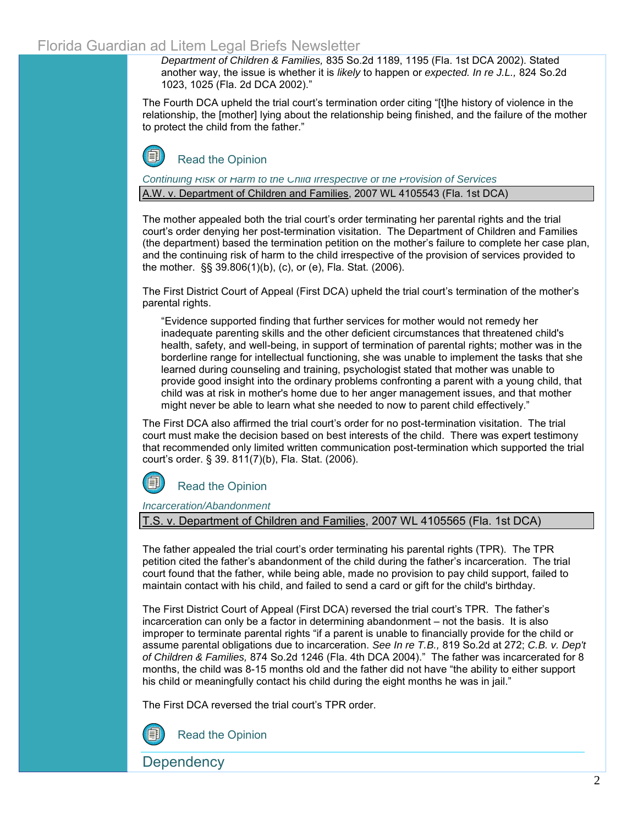*Department of Children & Families,* 835 So.2d 1189, 1195 (Fla. 1st DCA 2002). Stated another way, the issue is whether it is *likely* to happen or *expected. In re J.L.,* 824 So.2d 1023, 1025 (Fla. 2d DCA 2002)."

The Fourth DCA upheld the trial court's termination order citing "[t]he history of violence in the relationship, the [mother] lying about the relationship being finished, and the failure of the mother to protect the child from the father."



*Continuing Risk of Harm to the Child Irrespective of the Provision of Services*  A.W. v. Department of Children and Families, 2007 WL 4105543 (Fla. 1st DCA)

The mother appealed both the trial court's order terminating her parental rights and the trial court's order denying her post-termination visitation. The Department of Children and Families (the department) based the termination petition on the mother's failure to complete her case plan, and the continuing risk of harm to the child irrespective of the provision of services provided to the mother. [§§ 39.806\(1\)\(b\), \(c\), or \(e\), Fla. Stat. \(2006\).](http://www.flsenate.gov/Statutes/index.cfm?App_mode=Display_Statute&Search_String=&URL=Ch0039/SEC806.HTM&Title=->2007->Ch0039->Section%20806#0039.806) 

The First District Court of Appeal (First DCA) upheld the trial court's termination of the mother's parental rights.

"Evidence supported finding that further services for mother would not remedy her inadequate parenting skills and the other deficient circumstances that threatened child's health, safety, and well-being, in support of termination of parental rights; mother was in the borderline range for intellectual functioning, she was unable to implement the tasks that she learned during counseling and training, psychologist stated that mother was unable to provide good insight into the ordinary problems confronting a parent with a young child, that child was at risk in mother's home due to her anger management issues, and that mother might never be able to learn what she needed to now to parent child effectively."

The First DCA also affirmed the trial court's order for no post-termination visitation. The trial court must make the decision based on best interests of the child. There was expert testimony that recommended only limited written communication post-termination which supported the trial court's order. § 39. [811\(7\)\(b\),](http://www.flsenate.gov/Statutes/index.cfm?App_mode=Display_Statute&Search_String=&URL=Ch0039/SEC811.HTM&Title=->2007->Ch0039->Section%20811#0039.811) Fla. Stat. (2006).



*Incarceration/Abandonment*

T.S. v. Department of Children and Families, 2007 WL 4105565 (Fla. 1st DCA)

The father appealed the trial court's order terminating his parental rights (TPR). The TPR petition cited the father's abandonment of the child during the father's incarceration. The trial court found that the father, while being able, made no provision to pay child support, failed to maintain contact with his child, and failed to send a card or gift for the child's birthday.

The First District Court of Appeal (First DCA) reversed the trial court's TPR. The father's incarceration can only be a factor in determining abandonment – not the basis. It is also improper to terminate parental rights "if a parent is unable to financially provide for the child or assume parental obligations due to incarceration. *See In re T.B.,* 819 So.2d at 272; *C.B. v. Dep't of Children & Families,* 874 So.2d 1246 (Fla. 4th DCA 2004)." The father was incarcerated for 8 months, the child was 8-15 months old and the father did not have "the ability to either support his child or meaningfully contact his child during the eight months he was in jail."

The First DCA reversed the trial court's TPR order.



[Read the Opinion](http://opinions.1dca.org/written/opinions2007/11-20-07/07-2161.pdf)

**Dependency**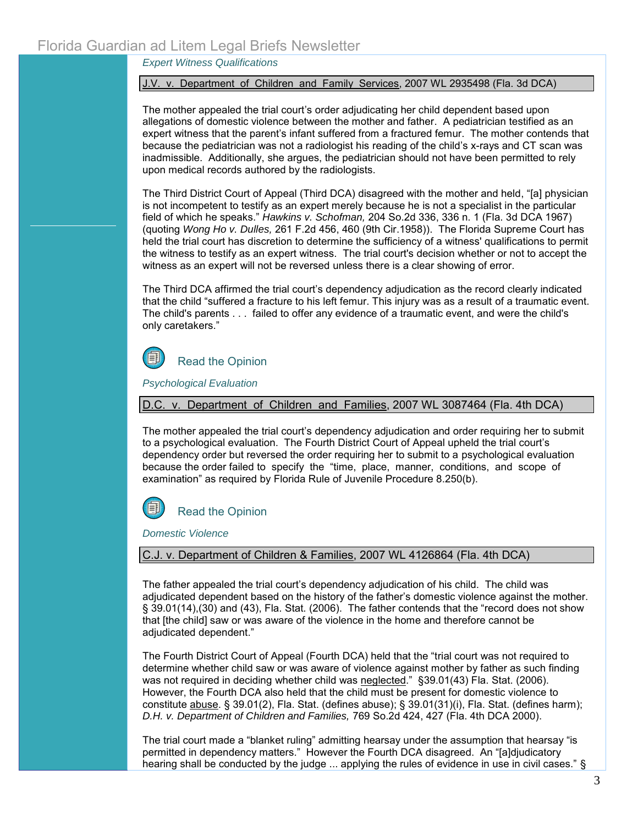*Expert Witness Qualifications*

J.V. v. Department of Children and Family Services, 2007 WL 2935498 (Fla. 3d DCA)

The mother appealed the trial court's order adjudicating her child dependent based upon allegations of domestic violence between the mother and father. A pediatrician testified as an expert witness that the parent's infant suffered from a fractured femur. The mother contends that because the pediatrician was not a radiologist his reading of the child's x-rays and CT scan was inadmissible. Additionally, she argues, the pediatrician should not have been permitted to rely upon medical records authored by the radiologists.

The Third District Court of Appeal (Third DCA) disagreed with the mother and held, "[a] physician is not incompetent to testify as an expert merely because he is not a specialist in the particular field of which he speaks." *Hawkins v. Schofman,* 204 So.2d 336, 336 n. 1 (Fla. 3d DCA 1967) (quoting *Wong Ho v. Dulles,* 261 F.2d 456, 460 (9th Cir.1958)). The Florida Supreme Court has held the trial court has discretion to determine the sufficiency of a witness' qualifications to permit the witness to testify as an expert witness. The trial court's decision whether or not to accept the witness as an expert will not be reversed unless there is a clear showing of error.

The Third DCA affirmed the trial court's dependency adjudication as the record clearly indicated that the child "suffered a fracture to his left femur. This injury was as a result of a traumatic event. The child's parents . . . failed to offer any evidence of a traumatic event, and were the child's only caretakers."



*Psychological Evaluation*

D.C. v. Department of Children and Families, 2007 WL 3087464 (Fla. 4th DCA)

The mother appealed the trial court's dependency adjudication and order requiring her to submit to a psychological evaluation. The Fourth District Court of Appeal upheld the trial court's dependency order but reversed the order requiring her to submit to a psychological evaluation because the order failed to specify the "time, place, manner, conditions, and scope of examination" as required by [Florida Rule of Juvenile Procedure 8.250\(b\).](http://www.floridabar.org/TFB/TFBResources.nsf/Attachments/E2AD7DEF01F6F90685256B29004BFA7E/$FILE/Juvenile%20Rules.pdf?OpenElement)



*Domestic Violence* 

C.J. v. Department of Children & Families, 2007 WL 4126864 (Fla. 4th DCA)

The father appealed the trial court's dependency adjudication of his child. The child was adjudicated dependent based on the history of the father's domestic violence against the mother. [§ 39.01\(14\),\(30\)](http://www.flsenate.gov/Statutes/index.cfm?App_mode=Display_Statute&Search_String=&URL=Ch0039/SEC01.HTM&Title=->2007->Ch0039->Section%2001#0039.01) and (43), Fla. Stat. (2006). The father contends that the "record does not show that [the child] saw or was aware of the violence in the home and therefore cannot be adjudicated dependent."

The Fourth District Court of Appeal (Fourth DCA) held that the "trial court was not required to determine whether child saw or was aware of violence against mother by father as such finding was not required in deciding whether child was neglected." [§39.01\(43\) Fla.](http://www.flsenate.gov/Statutes/index.cfm?App_mode=Display_Statute&Search_String=&URL=Ch0039/SEC01.HTM&Title=->2006->Ch0039->Section%2001#0039.01) Stat. (2006). However, the Fourth DCA also held that the child must be present for domestic violence to constitute abuse. § 39.01(2), Fla. Stat. (defines abuse); [§ 39.01\(31\)\(i\), Fla. Stat.](http://www.flsenate.gov/Statutes/index.cfm?App_mode=Display_Statute&Search_String=&URL=Ch0039/SEC01.HTM&Title=->2006->Ch0039->Section%2001#0039.01) (defines harm); *D.H. v. Department of Children and Families,* 769 So.2d 424, 427 (Fla. 4th DCA 2000).

The trial court made a "blanket ruling" admitting hearsay under the assumption that hearsay "is permitted in dependency matters." However the Fourth DCA disagreed. An "[a]djudicatory hearing shall be conducted by the judge ... applying the rules of evidence in use in civil cases." §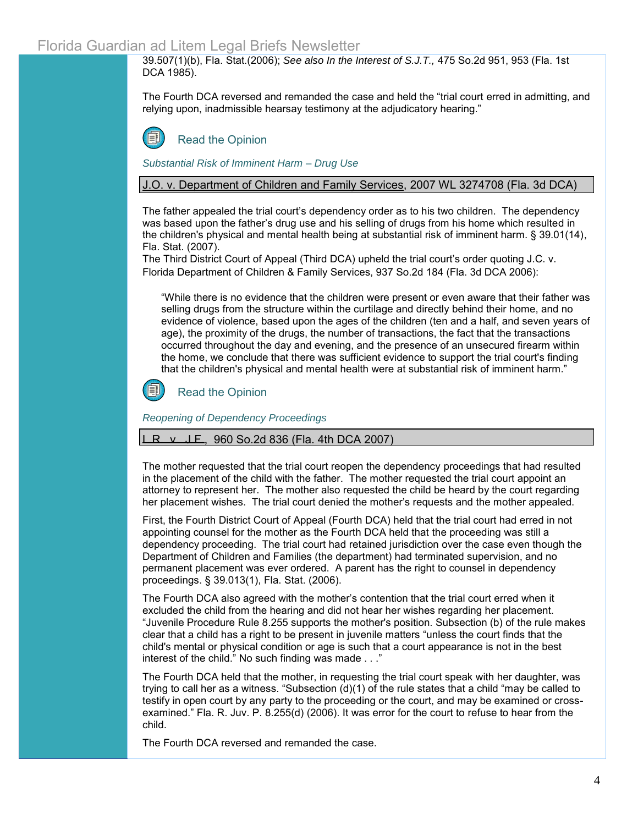#### Florida Guardian ad Litem Legal Briefs Newsletter

[39.507\(1\)\(b\), Fla.](http://www.flsenate.gov/Statutes/index.cfm?App_mode=Display_Statute&Search_String=&URL=Ch0039/SEC507.HTM&Title=->2006->Ch0039->Section%20507#0039.507) Stat.(2006); *See also In the Interest of S.J.T.,* 475 So.2d 951, 953 (Fla. 1st DCA 1985).

The Fourth DCA reversed and remanded the case and held the "trial court erred in admitting, and relying upon, inadmissible hearsay testimony at the adjudicatory hearing."

[Read the Opinion](http://www.4dca.org/Nov%202007/11-21-07/4D07-1496.op.pdf) 

*Substantial Risk of Imminent Harm – Drug Use*

J.O. v. Department of Children and Family Services, 2007 WL 3274708 (Fla. 3d DCA)

The father appealed the trial court's dependency order as to his two children. The dependency was based upon the father's drug use and his selling of drugs from his home which resulted in the children's physical and mental health being at substantial risk of imminent harm. § [39.01\(14\),](http://www.flsenate.gov/Statutes/index.cfm?App_mode=Display_Statute&Search_String=&URL=Ch0039/SEC01.HTM&Title=->2007->Ch0039->Section%2001#0039.01) [Fla. Stat. \(2007\).](http://www.flsenate.gov/Statutes/index.cfm?App_mode=Display_Statute&Search_String=&URL=Ch0039/SEC01.HTM&Title=->2007->Ch0039->Section%2001#0039.01) 

The Third District Court of Appeal (Third DCA) upheld the trial court's order quoting J.C. v. Florida Department of Children & Family Services, 937 So.2d 184 (Fla. 3d DCA 2006):

"While there is no evidence that the children were present or even aware that their father was selling drugs from the structure within the curtilage and directly behind their home, and no evidence of violence, based upon the ages of the children (ten and a half, and seven years of age), the proximity of the drugs, the number of transactions, the fact that the transactions occurred throughout the day and evening, and the presence of an unsecured firearm within the home, we conclude that there was sufficient evidence to support the trial court's finding that the children's physical and mental health were at substantial risk of imminent harm."



[Read the Opinion](http://www.3dca.flcourts.org/Opinions/3D07-0595.pdf) 

*Reopening of Dependency Proceedings*

#### $R_v$ , J.F., 960 So.2d 836 (Fla. 4th DCA 2007)

The mother requested that the trial court reopen the dependency proceedings that had resulted in the placement of the child with the father. The mother requested the trial court appoint an attorney to represent her. The mother also requested the child be heard by the court regarding her placement wishes. The trial court denied the mother's requests and the mother appealed.

First, the Fourth District Court of Appeal (Fourth DCA) held that the trial court had erred in not appointing counsel for the mother as the Fourth DCA held that the proceeding was still a dependency proceeding. The trial court had retained jurisdiction over the case even though the Department of Children and Families (the department) had terminated supervision, and no permanent placement was ever ordered. A parent has the right to counsel in dependency proceedings. [§ 39.013\(1\), Fla. Stat. \(2006\).](http://www.flsenate.gov/Statutes/index.cfm?App_mode=Display_Statute&Search_String=&URL=Ch0039/SEC013.HTM&Title=->2006->Ch0039->Section%20013#0039.013) 

The Fourth DCA also agreed with the mother's contention that the trial court erred when it excluded the child from the hearing and did not hear her wishes regarding her placement. "Juvenile Procedure Rule 8.255 supports the mother's position. Subsection (b) of the rule makes clear that a child has a right to be present in juvenile matters "unless the court finds that the child's mental or physical condition or age is such that a court appearance is not in the best interest of the child." No such finding was made . . ."

The Fourth DCA held that the mother, in requesting the trial court speak with her daughter, was trying to call her as a witness. "Subsection (d)(1) of the rule states that a child "may be called to testify in open court by any party to the proceeding or the court, and may be examined or crossexamined." [Fla. R. Juv. P. 8.255\(d\) \(2006\).](http://www.floridabar.org/TFB/TFBResources.nsf/Attachments/E2AD7DEF01F6F90685256B29004BFA7E/$FILE/Juvenile%20Rules.pdf?OpenElement) It was error for the court to refuse to hear from the child.

The Fourth DCA reversed and remanded the case.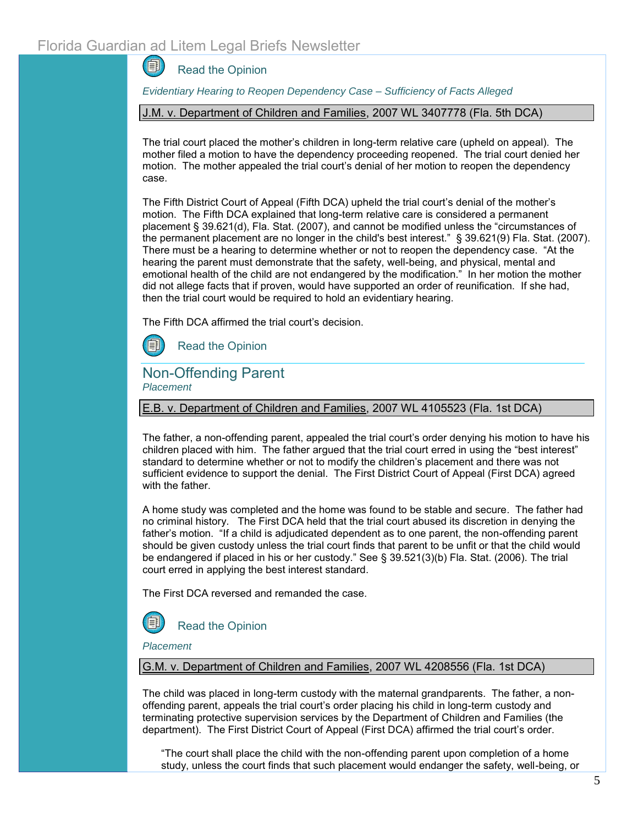1 [Read the Opinion](http://www.4dca.org/July%202007/07%E2%80%9005%E2%80%902007/4D06%E2%80%904003.op.pdf%20%20%20)

*Evidentiary Hearing to Reopen Dependency Case – Sufficiency of Facts Alleged*

J.M. v. Department of Children and Families, 2007 WL 3407778 (Fla. 5th DCA)

The trial court placed the mother's children in long-term relative care (upheld on appeal). The mother filed a motion to have the dependency proceeding reopened. The trial court denied her motion. The mother appealed the trial court's denial of her motion to reopen the dependency case.

The Fifth District Court of Appeal (Fifth DCA) upheld the trial court's denial of the mother's motion. The Fifth DCA explained that long-term relative care is considered a permanent placement [§ 39.621\(d\), Fla. Stat. \(2007\),](http://www.flsenate.gov/Statutes/index.cfm?App_mode=Display_Statute&Search_String=&URL=Ch0039/SEC621.HTM&Title=->2007->Ch0039->Section%20621#0039.621) and cannot be modified unless the "circumstances of the permanent placement are no longer in the child's best interest." § 39.621(9[\) Fla. Stat. \(2007\).](http://www.flsenate.gov/Statutes/index.cfm?App_mode=Display_Statute&Search_String=&URL=Ch0039/SEC621.HTM&Title=->2007->Ch0039->Section%20621#0039.621)  There must be a hearing to determine whether or not to reopen the dependency case. "At the hearing the parent must demonstrate that the safety, well-being, and physical, mental and emotional health of the child are not endangered by the modification." In her motion the mother did not allege facts that if proven, would have supported an order of reunification. If she had, then the trial court would be required to hold an evidentiary hearing.

The Fifth DCA affirmed the trial court's decision.

[Read the Opinion](http://www.5dca.org/Opinions/Opin2007/111207/5D07-2156.op.pdf)

Non-Offending Parent *Placement*

E.B. v. Department of Children and Families, 2007 WL 4105523 (Fla. 1st DCA)

The father, a non-offending parent, appealed the trial court's order denying his motion to have his children placed with him. The father argued that the trial court erred in using the "best interest" standard to determine whether or not to modify the children's placement and there was not sufficient evidence to support the denial. The First District Court of Appeal (First DCA) agreed with the father.

A home study was completed and the home was found to be stable and secure. The father had no criminal history. The First DCA held that the trial court abused its discretion in denying the father's motion. "If a child is adjudicated dependent as to one parent, the non-offending parent should be given custody unless the trial court finds that parent to be unfit or that the child would be endangered if placed in his or her custody." See [§ 39.521\(3\)\(b\) Fla. Stat. \(2006\).](http://www.flsenate.gov/Statutes/index.cfm?App_mode=Display_Statute&Search_String=&URL=Ch0039/SEC521.HTM&Title=->2006->Ch0039->Section%20521#0039.521) The trial court erred in applying the best interest standard.

The First DCA reversed and remanded the case.



*Placement*

G.M. v. Department of Children and Families, 2007 WL 4208556 (Fla. 1st DCA)

The child was placed in long-term custody with the maternal grandparents. The father, a nonoffending parent, appeals the trial court's order placing his child in long-term custody and terminating protective supervision services by the Department of Children and Families (the department). The First District Court of Appeal (First DCA) affirmed the trial court's order.

"The court shall place the child with the non-offending parent upon completion of a home study, unless the court finds that such placement would endanger the safety, well-being, or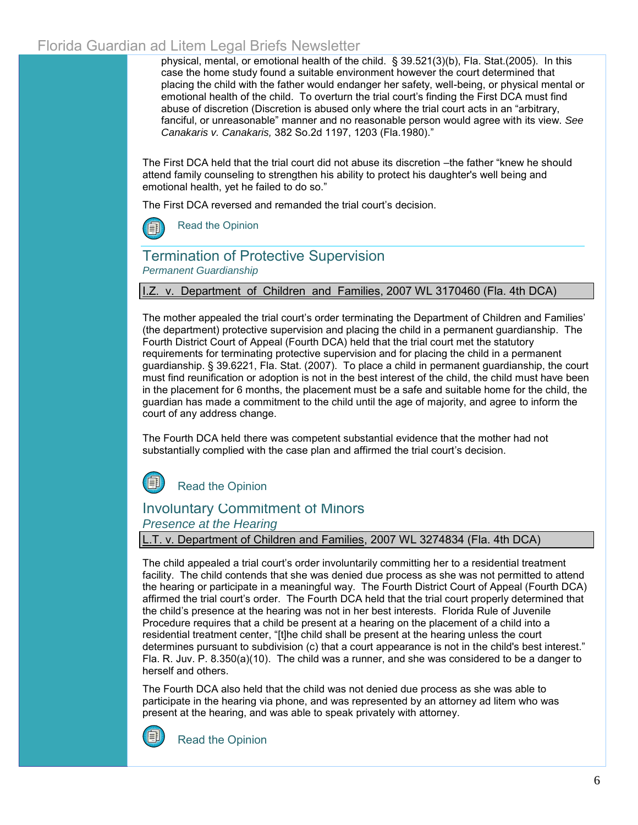# Florida Guardian ad Litem Legal Briefs Newsletter

physical, mental, or emotional health of the child. [§ 39.521\(3\)\(b\), Fla. Stat.\(2005\).](http://www.flsenate.gov/Statutes/index.cfm?App_mode=Display_Statute&Search_String=&URL=Ch0039/SEC521.HTM&Title=->2005->Ch0039->Section%20521#0039.521) In this case the home study found a suitable environment however the court determined that placing the child with the father would endanger her safety, well-being, or physical mental or emotional health of the child. To overturn the trial court's finding the First DCA must find abuse of discretion (Discretion is abused only where the trial court acts in an "arbitrary, fanciful, or unreasonable" manner and no reasonable person would agree with its view. *See Canakaris v. Canakaris,* 382 So.2d 1197, 1203 (Fla.1980)."

The First DCA held that the trial court did not abuse its discretion –the father "knew he should attend family counseling to strengthen his ability to protect his daughter's well being and emotional health, yet he failed to do so."

The First DCA reversed and remanded the trial court's decision.

[Read the Opinion](http://opinions.1dca.org/written/opinions2007/11-30-07/07-1301.pdf)

## Termination of Protective Supervision *Permanent Guardianship*

#### .Z. v. Department of Children and Families, 2007 WL 3170460 (Fla. 4th DCA)

The mother appealed the trial court's order terminating the Department of Children and Families' (the department) protective supervision and placing the child in a permanent guardianship. The Fourth District Court of Appeal (Fourth DCA) held that the trial court met the statutory requirements for terminating protective supervision and for placing the child in a permanent guardianship. [§ 39.6221, Fla. Stat. \(2007\).](http://www.flsenate.gov/Statutes/index.cfm?App_mode=Display_Statute&Search_String=&URL=Ch0039/SEC6221.HTM&Title=->2007->Ch0039->Section%206221#0039.6221) To place a child in permanent guardianship, the court must find reunification or adoption is not in the best interest of the child, the child must have been in the placement for 6 months, the placement must be a safe and suitable home for the child, the guardian has made a commitment to the child until the age of majority, and agree to inform the court of any address change.

The Fourth DCA held there was competent substantial evidence that the mother had not substantially complied with the case plan and affirmed the trial court's decision.



#### Involuntary Commitment of Minors

#### *Presence at the Hearing*

L.T. v. Department of Children and Families, 2007 WL 3274834 (Fla. 4th DCA)

The child appealed a trial court's order involuntarily committing her to a residential treatment facility. The child contends that she was denied due process as she was not permitted to attend the hearing or participate in a meaningful way. The Fourth District Court of Appeal (Fourth DCA) affirmed the trial court's order. The Fourth DCA held that the trial court properly determined that the child's presence at the hearing was not in her best interests. Florida Rule of Juvenile Procedure requires that a child be present at a hearing on the placement of a child into a residential treatment center, "[t]he child shall be present at the hearing unless the court determines pursuant to subdivision (c) that a court appearance is not in the child's best interest." [Fla. R. Juv. P. 8.350\(a\)\(10\).](http://www.floridabar.org/TFB/TFBResources.nsf/Attachments/E2AD7DEF01F6F90685256B29004BFA7E/$FILE/Juvenile%20Rules.pdf?OpenElement) The child was a runner, and she was considered to be a danger to herself and others.

The Fourth DCA also held that the child was not denied due process as she was able to participate in the hearing via phone, and was represented by an attorney ad litem who was present at the hearing, and was able to speak privately with attorney.



[Read the Opinion](http://www.4dca.org/Nov%202007/11-07-07/4D07-1047.op.pdf)